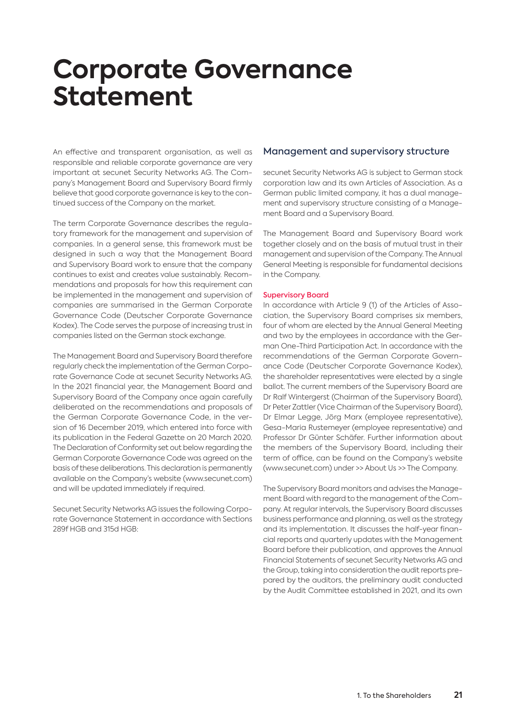# **Corporate Governance Statement**

An effective and transparent organisation, as well as responsible and reliable corporate governance are very important at secunet Security Networks AG. The Company's Management Board and Supervisory Board firmly believe that good corporate governance is key to the continued success of the Company on the market.

The term Corporate Governance describes the regulatory framework for the management and supervision of companies. In a general sense, this framework must be designed in such a way that the Management Board and Supervisory Board work to ensure that the company continues to exist and creates value sustainably. Recommendations and proposals for how this requirement can be implemented in the management and supervision of companies are summarised in the German Corporate Governance Code (Deutscher Corporate Governance Kodex). The Code serves the purpose of increasing trust in companies listed on the German stock exchange.

The Management Board and Supervisory Board therefore regularly check the implementation of the German Corporate Governance Code at secunet Security Networks AG. In the 2021 financial year, the Management Board and Supervisory Board of the Company once again carefully deliberated on the recommendations and proposals of the German Corporate Governance Code, in the version of 16 December 2019, which entered into force with its publication in the Federal Gazette on 20 March 2020. The Declaration of Conformity set out below regarding the German Corporate Governance Code was agreed on the basis of these deliberations. This declaration is permanently available on the Company's website (www.secunet.com) and will be updated immediately if required.

Secunet Security Networks AG issues the following Corporate Governance Statement in accordance with Sections 289f HGB and 315d HGB:

## Management and supervisory structure

secunet Security Networks AG is subject to German stock corporation law and its own Articles of Association. As a German public limited company, it has a dual management and supervisory structure consisting of a Management Board and a Supervisory Board.

The Management Board and Supervisory Board work together closely and on the basis of mutual trust in their management and supervision of the Company. The Annual General Meeting is responsible for fundamental decisions in the Company.

#### Supervisory Board

In accordance with Article 9 (1) of the Articles of Association, the Supervisory Board comprises six members, four of whom are elected by the Annual General Meeting and two by the employees in accordance with the German One-Third Participation Act. In accordance with the recommendations of the German Corporate Governance Code (Deutscher Corporate Governance Kodex), the shareholder representatives were elected by a single ballot. The current members of the Supervisory Board are Dr Ralf Wintergerst (Chairman of the Supervisory Board), Dr Peter Zattler (Vice Chairman of the Supervisory Board), Dr Elmar Legge, Jörg Marx (employee representative), Gesa-Maria Rustemeyer (employee representative) and Professor Dr Günter Schäfer. Further information about the members of the Supervisory Board, including their term of office, can be found on the Company's website (www.secunet.com) under >> About Us >> The Company.

The Supervisory Board monitors and advises the Management Board with regard to the management of the Company. At regular intervals, the Supervisory Board discusses business performance and planning, as well as the strategy and its implementation. It discusses the half-year financial reports and quarterly updates with the Management Board before their publication, and approves the Annual Financial Statements of secunet Security Networks AG and the Group, taking into consideration the audit reports prepared by the auditors, the preliminary audit conducted by the Audit Committee established in 2021, and its own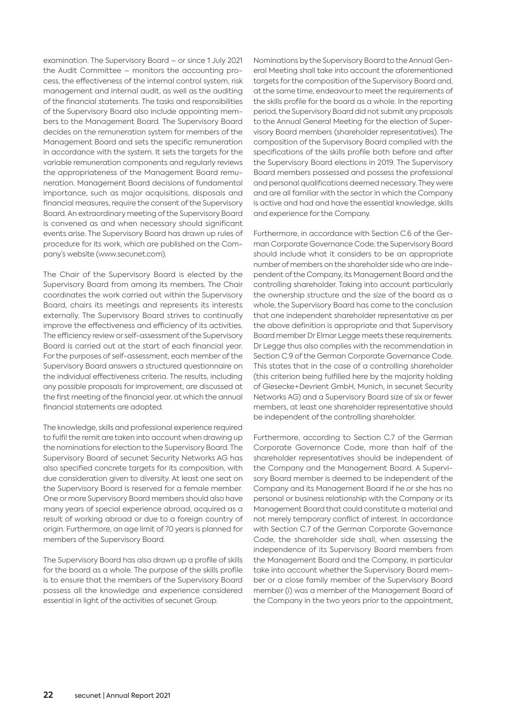examination. The Supervisory Board – or since 1 July 2021 the Audit Committee – monitors the accounting process, the effectiveness of the internal control system, risk management and internal audit, as well as the auditing of the financial statements. The tasks and responsibilities of the Supervisory Board also include appointing members to the Management Board. The Supervisory Board decides on the remuneration system for members of the Management Board and sets the specific remuneration in accordance with the system. It sets the targets for the variable remuneration components and regularly reviews the appropriateness of the Management Board remuneration. Management Board decisions of fundamental importance, such as major acquisitions, disposals and financial measures, require the consent of the Supervisory Board. An extraordinary meeting of the Supervisory Board is convened as and when necessary should significant events arise. The Supervisory Board has drawn up rules of procedure for its work, which are published on the Company's website (www.secunet.com).

The Chair of the Supervisory Board is elected by the Supervisory Board from among its members. The Chair coordinates the work carried out within the Supervisory Board, chairs its meetings and represents its interests externally. The Supervisory Board strives to continually improve the effectiveness and efficiency of its activities. The efficiency review or self-assessment of the Supervisory Board is carried out at the start of each financial year. For the purposes of self-assessment, each member of the Supervisory Board answers a structured questionnaire on the individual effectiveness criteria. The results, including any possible proposals for improvement, are discussed at the first meeting of the financial year, at which the annual financial statements are adopted.

The knowledge, skills and professional experience required to fulfil the remit are taken into account when drawing up the nominations for election to the Supervisory Board. The Supervisory Board of secunet Security Networks AG has also specified concrete targets for its composition, with due consideration given to diversity. At least one seat on the Supervisory Board is reserved for a female member. One or more Supervisory Board members should also have many years of special experience abroad, acquired as a result of working abroad or due to a foreign country of origin. Furthermore, an age limit of 70 years is planned for members of the Supervisory Board.

The Supervisory Board has also drawn up a profile of skills for the board as a whole. The purpose of the skills profile is to ensure that the members of the Supervisory Board possess all the knowledge and experience considered essential in light of the activities of secunet Group.

Nominations by the Supervisory Board to the Annual General Meeting shall take into account the aforementioned targets for the composition of the Supervisory Board and, at the same time, endeavour to meet the requirements of the skills profile for the board as a whole. In the reporting period, the Supervisory Board did not submit any proposals to the Annual General Meeting for the election of Supervisory Board members (shareholder representatives). The composition of the Supervisory Board complied with the specifications of the skills profile both before and after the Supervisory Board elections in 2019. The Supervisory Board members possessed and possess the professional and personal qualifications deemed necessary. They were and are all familiar with the sector in which the Company is active and had and have the essential knowledge, skills and experience for the Company.

Furthermore, in accordance with Section C.6 of the German Corporate Governance Code, the Supervisory Board should include what it considers to be an appropriate number of members on the shareholder side who are independent of the Company, its Management Board and the controlling shareholder. Taking into account particularly the ownership structure and the size of the board as a whole, the Supervisory Board has come to the conclusion that one independent shareholder representative as per the above definition is appropriate and that Supervisory Board member Dr Elmar Legge meets these requirements. Dr Legge thus also complies with the recommendation in Section C.9 of the German Corporate Governance Code. This states that in the case of a controlling shareholder (this criterion being fulfilled here by the majority holding of Giesecke + Devrient GmbH, Munich, in secunet Security Networks AG) and a Supervisory Board size of six or fewer members, at least one shareholder representative should be independent of the controlling shareholder.

Furthermore, according to Section C.7 of the German Corporate Governance Code, more than half of the shareholder representatives should be independent of the Company and the Management Board. A Supervisory Board member is deemed to be independent of the Company and its Management Board if he or she has no personal or business relationship with the Company or its Management Board that could constitute a material and not merely temporary conflict of interest. In accordance with Section C.7 of the German Corporate Governance Code, the shareholder side shall, when assessing the independence of its Supervisory Board members from the Management Board and the Company, in particular take into account whether the Supervisory Board member or a close family member of the Supervisory Board member (i) was a member of the Management Board of the Company in the two years prior to the appointment,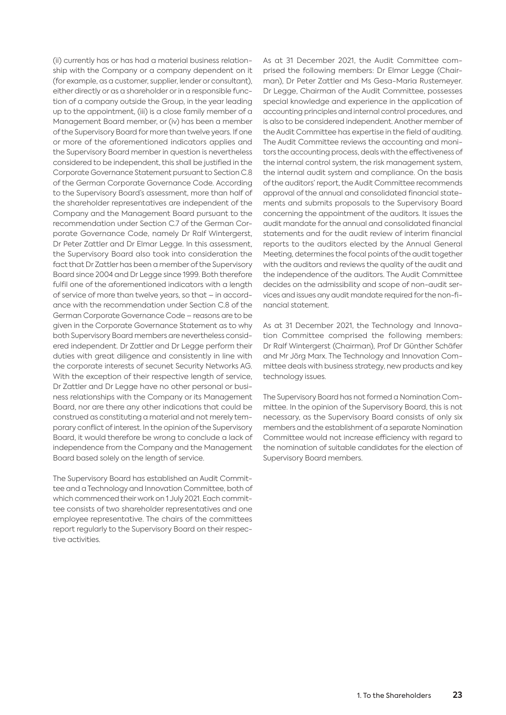(ii) currently has or has had a material business relationship with the Company or a company dependent on it (for example, as a customer, supplier, lender or consultant), either directly or as a shareholder or in a responsible function of a company outside the Group, in the year leading up to the appointment, (iii) is a close family member of a Management Board member, or (iv) has been a member of the Supervisory Board for more than twelve years. If one or more of the aforementioned indicators applies and the Supervisory Board member in question is nevertheless considered to be independent, this shall be justified in the Corporate Governance Statement pursuant to Section C.8 of the German Corporate Governance Code. According to the Supervisory Board's assessment, more than half of the shareholder representatives are independent of the Company and the Management Board pursuant to the recommendation under Section C.7 of the German Corporate Governance Code, namely Dr Ralf Wintergerst, Dr Peter Zattler and Dr Elmar Legge. In this assessment, the Supervisory Board also took into consideration the fact that Dr Zattler has been a member of the Supervisory Board since 2004 and Dr Legge since 1999. Both therefore fulfil one of the aforementioned indicators with a length of service of more than twelve years, so that – in accordance with the recommendation under Section C.8 of the German Corporate Governance Code – reasons are to be given in the Corporate Governance Statement as to why both Supervisory Board members are nevertheless considered independent. Dr Zattler and Dr Legge perform their duties with great diligence and consistently in line with the corporate interests of secunet Security Networks AG. With the exception of their respective length of service, Dr Zattler and Dr Legge have no other personal or business relationships with the Company or its Management Board, nor are there any other indications that could be construed as constituting a material and not merely temporary conflict of interest. In the opinion of the Supervisory Board, it would therefore be wrong to conclude a lack of independence from the Company and the Management Board based solely on the length of service.

The Supervisory Board has established an Audit Committee and a Technology and Innovation Committee, both of which commenced their work on 1 July 2021. Each committee consists of two shareholder representatives and one employee representative. The chairs of the committees report regularly to the Supervisory Board on their respective activities.

As at 31 December 2021, the Audit Committee comprised the following members: Dr Elmar Legge (Chairman), Dr Peter Zattler and Ms Gesa-Maria Rustemeyer. Dr Legge, Chairman of the Audit Committee, possesses special knowledge and experience in the application of accounting principles and internal control procedures, and is also to be considered independent. Another member of the Audit Committee has expertise in the field of auditing. The Audit Committee reviews the accounting and monitors the accounting process, deals with the effectiveness of the internal control system, the risk management system, the internal audit system and compliance. On the basis of the auditors' report, the Audit Committee recommends approval of the annual and consolidated financial statements and submits proposals to the Supervisory Board concerning the appointment of the auditors. It issues the audit mandate for the annual and consolidated financial statements and for the audit review of interim financial reports to the auditors elected by the Annual General Meeting, determines the focal points of the audit together with the auditors and reviews the quality of the audit and the independence of the auditors. The Audit Committee decides on the admissibility and scope of non-audit services and issues any audit mandate required for the non-financial statement.

As at 31 December 2021, the Technology and Innovation Committee comprised the following members: Dr Ralf Wintergerst (Chairman), Prof Dr Günther Schäfer and Mr Jörg Marx. The Technology and Innovation Committee deals with business strategy, new products and key technology issues.

The Supervisory Board has not formed a Nomination Committee. In the opinion of the Supervisory Board, this is not necessary, as the Supervisory Board consists of only six members and the establishment of a separate Nomination Committee would not increase efficiency with regard to the nomination of suitable candidates for the election of Supervisory Board members.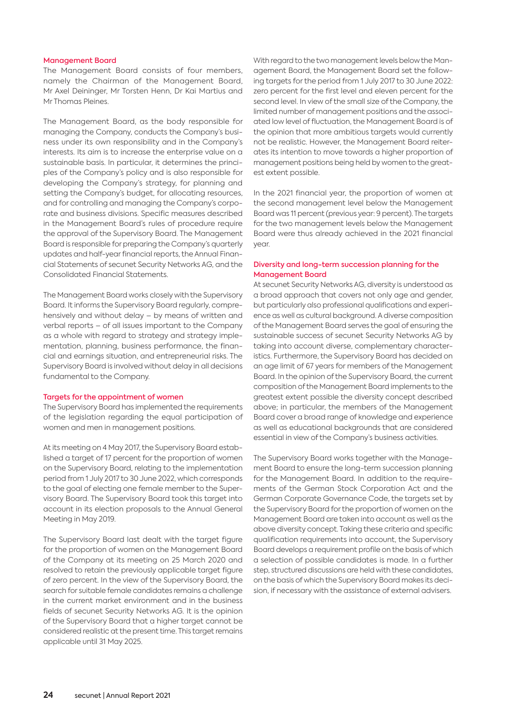#### Management Board

The Management Board consists of four members, namely the Chairman of the Management Board, Mr Axel Deininger, Mr Torsten Henn, Dr Kai Martius and Mr Thomas Pleines.

The Management Board, as the body responsible for managing the Company, conducts the Company's business under its own responsibility and in the Company's interests. Its aim is to increase the enterprise value on a sustainable basis. In particular, it determines the principles of the Company's policy and is also responsible for developing the Company's strategy, for planning and setting the Company's budget, for allocating resources, and for controlling and managing the Company's corporate and business divisions. Specific measures described in the Management Board's rules of procedure require the approval of the Supervisory Board. The Management Board is responsible for preparing the Company's quarterly updates and half-year financial reports, the Annual Financial Statements of secunet Security Networks AG, and the Consolidated Financial Statements.

The Management Board works closely with the Supervisory Board. It informs the Supervisory Board regularly, comprehensively and without delay – by means of written and verbal reports – of all issues important to the Company as a whole with regard to strategy and strategy implementation, planning, business performance, the financial and earnings situation, and entrepreneurial risks. The Supervisory Board is involved without delay in all decisions fundamental to the Company.

#### Targets for the appointment of women

The Supervisory Board has implemented the requirements of the legislation regarding the equal participation of women and men in management positions.

At its meeting on 4 May 2017, the Supervisory Board established a target of 17 percent for the proportion of women on the Supervisory Board, relating to the implementation period from 1 July 2017 to 30 June 2022, which corresponds to the goal of electing one female member to the Supervisory Board. The Supervisory Board took this target into account in its election proposals to the Annual General Meeting in May 2019.

The Supervisory Board last dealt with the target figure for the proportion of women on the Management Board of the Company at its meeting on 25 March 2020 and resolved to retain the previously applicable target figure of zero percent. In the view of the Supervisory Board, the search for suitable female candidates remains a challenge in the current market environment and in the business fields of secunet Security Networks AG. It is the opinion of the Supervisory Board that a higher target cannot be considered realistic at the present time. This target remains applicable until 31 May 2025.

With regard to the two management levels below the Management Board, the Management Board set the following targets for the period from 1 July 2017 to 30 June 2022: zero percent for the first level and eleven percent for the second level. In view of the small size of the Company, the limited number of management positions and the associated low level of fluctuation, the Management Board is of the opinion that more ambitious targets would currently not be realistic. However, the Management Board reiterates its intention to move towards a higher proportion of management positions being held by women to the greatest extent possible.

In the 2021 financial year, the proportion of women at the second management level below the Management Board was 11 percent (previous year: 9 percent). The targets for the two management levels below the Management Board were thus already achieved in the 2021 financial year.

### Diversity and long-term succession planning for the Management Board

At secunet Security Networks AG, diversity is understood as a broad approach that covers not only age and gender, but particularly also professional qualifications and experience as well as cultural background. A diverse composition of the Management Board serves the goal of ensuring the sustainable success of secunet Security Networks AG by taking into account diverse, complementary characteristics. Furthermore, the Supervisory Board has decided on an age limit of 67 years for members of the Management Board. In the opinion of the Supervisory Board, the current composition of the Management Board implements to the greatest extent possible the diversity concept described above; in particular, the members of the Management Board cover a broad range of knowledge and experience as well as educational backgrounds that are considered essential in view of the Company's business activities.

The Supervisory Board works together with the Management Board to ensure the long-term succession planning for the Management Board. In addition to the requirements of the German Stock Corporation Act and the German Corporate Governance Code, the targets set by the Supervisory Board for the proportion of women on the Management Board are taken into account as well as the above diversity concept. Taking these criteria and specific qualification requirements into account, the Supervisory Board develops a requirement profile on the basis of which a selection of possible candidates is made. In a further step, structured discussions are held with these candidates, on the basis of which the Supervisory Board makes its decision, if necessary with the assistance of external advisers.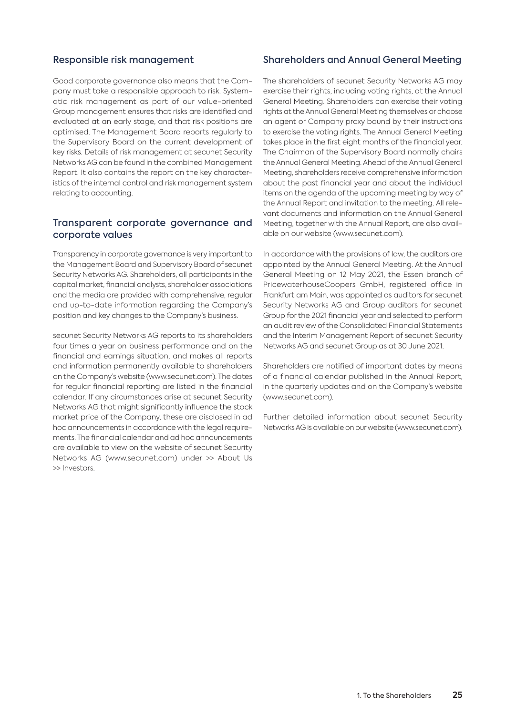## Responsible risk management

Good corporate governance also means that the Company must take a responsible approach to risk. Systematic risk management as part of our value-oriented Group management ensures that risks are identified and evaluated at an early stage, and that risk positions are optimised. The Management Board reports regularly to the Supervisory Board on the current development of key risks. Details of risk management at secunet Security Networks AG can be found in the combined Management Report. It also contains the report on the key characteristics of the internal control and risk management system relating to accounting.

## Transparent corporate governance and corporate values

Transparency in corporate governance is very important to the Management Board and Supervisory Board of secunet Security Networks AG. Shareholders, all participants in the capital market, financial analysts, shareholder associations and the media are provided with comprehensive, regular and up-to-date information regarding the Company's position and key changes to the Company's business.

secunet Security Networks AG reports to its shareholders four times a year on business performance and on the financial and earnings situation, and makes all reports and information permanently available to shareholders on the Company's website (www.secunet.com). The dates for regular financial reporting are listed in the financial calendar. If any circumstances arise at secunet Security Networks AG that might significantly influence the stock market price of the Company, these are disclosed in ad hoc announcements in accordance with the legal requirements. The financial calendar and ad hoc announcements are available to view on the website of secunet Security Networks AG (www.secunet.com) under >> About Us >> Investors.

## Shareholders and Annual General Meeting

The shareholders of secunet Security Networks AG may exercise their rights, including voting rights, at the Annual General Meeting. Shareholders can exercise their voting rights at the Annual General Meeting themselves or choose an agent or Company proxy bound by their instructions to exercise the voting rights. The Annual General Meeting takes place in the first eight months of the financial year. The Chairman of the Supervisory Board normally chairs the Annual General Meeting. Ahead of the Annual General Meeting, shareholders receive comprehensive information about the past financial year and about the individual items on the agenda of the upcoming meeting by way of the Annual Report and invitation to the meeting. All relevant documents and information on the Annual General Meeting, together with the Annual Report, are also available on our website (www.secunet.com).

In accordance with the provisions of law, the auditors are appointed by the Annual General Meeting. At the Annual General Meeting on 12 May 2021, the Essen branch of PricewaterhouseCoopers GmbH, registered office in Frankfurt am Main, was appointed as auditors for secunet Security Networks AG and Group auditors for secunet Group for the 2021 financial year and selected to perform an audit review of the Consolidated Financial Statements and the Interim Management Report of secunet Security Networks AG and secunet Group as at 30 June 2021.

Shareholders are notified of important dates by means of a financial calendar published in the Annual Report, in the quarterly updates and on the Company's website (www.secunet.com).

Further detailed information about secunet Security Networks AG is available on our website (www.secunet.com).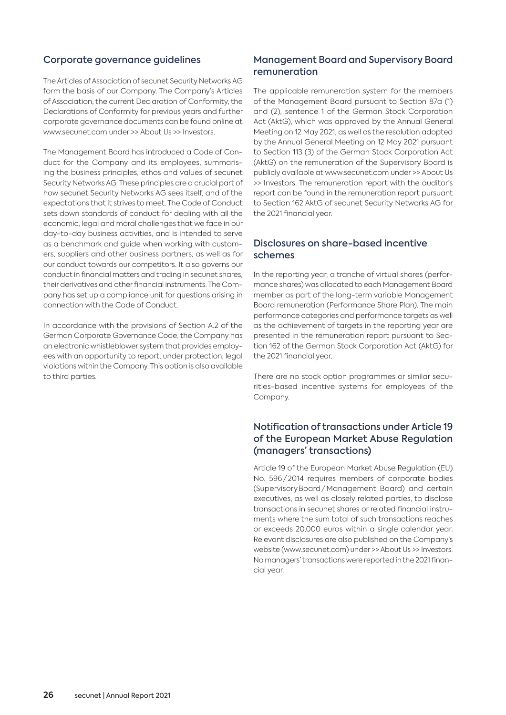## Corporate governance guidelines

The Articles of Association of secunet Security Networks AG form the basis of our Company. The Company's Articles of Association, the current Declaration of Conformity, the Declarations of Conformity for previous years and further corporate governance documents can be found online at www.secunet.com under >> About Us >> Investors.

The Management Board has introduced a Code of Conduct for the Company and its employees, summarising the business principles, ethos and values of secunet Security Networks AG. These principles are a crucial part of how secunet Security Networks AG sees itself, and of the expectations that it strives to meet. The Code of Conduct sets down standards of conduct for dealing with all the economic, legal and moral challenges that we face in our day-to-day business activities, and is intended to serve as a benchmark and guide when working with customers, suppliers and other business partners, as well as for our conduct towards our competitors. It also governs our conduct in financial matters and trading in secunet shares, their derivatives and other financial instruments. The Company has set up a compliance unit for questions arising in connection with the Code of Conduct.

In accordance with the provisions of Section A.2 of the German Corporate Governance Code, the Company has an electronic whistleblower system that provides employees with an opportunity to report, under protection, legal violations within the Company. This option is also available to third parties.

# Management Board and Supervisory Board remuneration

The applicable remuneration system for the members of the Management Board pursuant to Section 87a (1) and (2), sentence 1 of the German Stock Corporation Act (AktG), which was approved by the Annual General Meeting on 12 May 2021, as well as the resolution adopted by the Annual General Meeting on 12 May 2021 pursuant to Section 113 (3) of the German Stock Corporation Act (AktG) on the remuneration of the Supervisory Board is publicly available at www.secunet.com under >> About Us >> Investors. The remuneration report with the auditor's report can be found in the remuneration report pursuant to Section 162 AktG of secunet Security Networks AG for the 2021 financial year.

## Disclosures on share-based incentive schemes

In the reporting year, a tranche of virtual shares (performance shares) was allocated to each Management Board member as part of the long-term variable Management Board remuneration (Performance Share Plan). The main performance categories and performance targets as well as the achievement of targets in the reporting year are presented in the remuneration report pursuant to Section 162 of the German Stock Corporation Act (AktG) for the 2021 financial year.

There are no stock option programmes or similar securities-based incentive systems for employees of the Company.

# Notification of transactions under Article 19 of the European Market Abuse Regulation (managers' transactions)

Article 19 of the European Market Abuse Regulation (EU) No. 596 / 2014 requires members of corporate bodies (Supervisory Board / Management Board) and certain executives, as well as closely related parties, to disclose transactions in secunet shares or related financial instruments where the sum total of such transactions reaches or exceeds 20,000 euros within a single calendar year. Relevant disclosures are also published on the Company's website (www.secunet.com) under >> About Us >> Investors. No managers' transactions were reported in the 2021 financial year.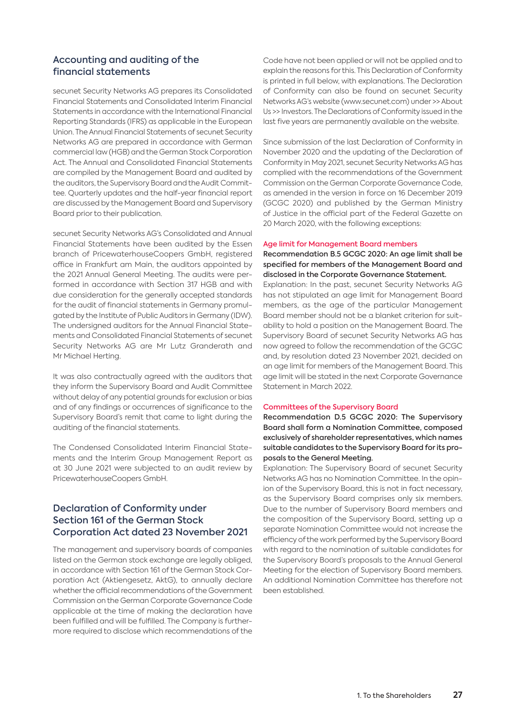# Accounting and auditing of the financial statements

secunet Security Networks AG prepares its Consolidated Financial Statements and Consolidated Interim Financial Statements in accordance with the International Financial Reporting Standards (IFRS) as applicable in the European Union. The Annual Financial Statements of secunet Security Networks AG are prepared in accordance with German commercial law (HGB) and the German Stock Corporation Act. The Annual and Consolidated Financial Statements are compiled by the Management Board and audited by the auditors, the Supervisory Board and the Audit Committee. Quarterly updates and the half-year financial report are discussed by the Management Board and Supervisory Board prior to their publication.

secunet Security Networks AG's Consolidated and Annual Financial Statements have been audited by the Essen branch of PricewaterhouseCoopers GmbH, registered office in Frankfurt am Main, the auditors appointed by the 2021 Annual General Meeting. The audits were performed in accordance with Section 317 HGB and with due consideration for the generally accepted standards for the audit of financial statements in Germany promulgated by the Institute of Public Auditors in Germany (IDW). The undersigned auditors for the Annual Financial Statements and Consolidated Financial Statements of secunet Security Networks AG are Mr Lutz Granderath and Mr Michael Herting.

It was also contractually agreed with the auditors that they inform the Supervisory Board and Audit Committee without delay of any potential grounds for exclusion or bias and of any findings or occurrences of significance to the Supervisory Board's remit that came to light during the auditing of the financial statements.

The Condensed Consolidated Interim Financial Statements and the Interim Group Management Report as at 30 June 2021 were subjected to an audit review by PricewaterhouseCoopers GmbH.

# Declaration of Conformity under Section 161 of the German Stock Corporation Act dated 23 November 2021

The management and supervisory boards of companies listed on the German stock exchange are legally obliged, in accordance with Section 161 of the German Stock Corporation Act (Aktiengesetz, AktG), to annually declare whether the official recommendations of the Government Commission on the German Corporate Governance Code applicable at the time of making the declaration have been fulfilled and will be fulfilled. The Company is furthermore required to disclose which recommendations of the Code have not been applied or will not be applied and to explain the reasons for this. This Declaration of Conformity is printed in full below, with explanations. The Declaration of Conformity can also be found on secunet Security Networks AG's website (www.secunet.com) under >> About Us >> Investors. The Declarations of Conformity issued in the last five years are permanently available on the website.

Since submission of the last Declaration of Conformity in November 2020 and the updating of the Declaration of Conformity in May 2021, secunet Security Networks AG has complied with the recommendations of the Government Commission on the German Corporate Governance Code, as amended in the version in force on 16 December 2019 (GCGC 2020) and published by the German Ministry of Justice in the official part of the Federal Gazette on 20 March 2020, with the following exceptions:

#### Age limit for Management Board members

Recommendation B.5 GCGC 2020: An age limit shall be specified for members of the Management Board and disclosed in the Corporate Governance Statement.

Explanation: In the past, secunet Security Networks AG has not stipulated an age limit for Management Board members, as the age of the particular Management Board member should not be a blanket criterion for suitability to hold a position on the Management Board. The Supervisory Board of secunet Security Networks AG has now agreed to follow the recommendation of the GCGC and, by resolution dated 23 November 2021, decided on an age limit for members of the Management Board. This age limit will be stated in the next Corporate Governance Statement in March 2022.

#### Committees of the Supervisory Board

Recommendation D.5 GCGC 2020: The Supervisory Board shall form a Nomination Committee, composed exclusively of shareholder representatives, which names suitable candidates to the Supervisory Board for its proposals to the General Meeting.

Explanation: The Supervisory Board of secunet Security Networks AG has no Nomination Committee. In the opinion of the Supervisory Board, this is not in fact necessary, as the Supervisory Board comprises only six members. Due to the number of Supervisory Board members and the composition of the Supervisory Board, setting up a separate Nomination Committee would not increase the efficiency of the work performed by the Supervisory Board with regard to the nomination of suitable candidates for the Supervisory Board's proposals to the Annual General Meeting for the election of Supervisory Board members. An additional Nomination Committee has therefore not been established.